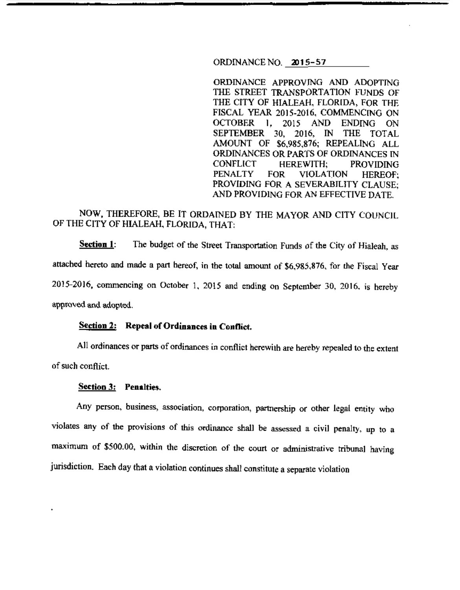ORDINANCE NO. 2015-57

ORDINANCE APPROVING AND ADOPTING THE STREET TRANSPORTATION FUNDS OF THE CITY OF HIALEAH, FLORIDA, FOR THE FISCAL YEAR 2015-2016, COMMENCING ON OCTOBER I, 2015 AND ENDING ON SEPTEMBER 30, 2016, IN THE TOTAL AMOUNT OF \$6,985,876; REPEALING ALL ORDINANCES OR PARTS OF ORDINANCES IN CONFLICT HEREWITH; PROVIDING PENALTY FOR VIOLATION HEREOF; PROVIDING FOR A SEVERABILITY CLAUSE; AND PROVIDING FOR AN EFFECTIVE DATE.

# NOW, THEREFORE, BE IT ORDAINED BY THE MAYOR AND CITY COUNCIL OF THE CITY OF HIALEAH, FLORIDA, THAT:

**Section 1:** The budget of the Street Transportation Funds of the City of Hialeah, as attached hereto and made a part hereof, in the total amount of \$6,985,876, for the Fiscal Year 2015-2016, commencing on October 1, 2015 and ending on September 30, 2016. is hereby approved and adopted.

#### **Seetion 2: Repeal of Ordinances in Conflict.**

All ordinances or parts of ordinances in conflict herewith are hereby repealed to the extent of such conflict.

#### **Section 3: Penalties.**

Any person, business, association, corporation, partnership or other legal entity who violates any of the provisions of this ordinance shall be assessed a civil penalty, up to a maximum of \$500.00, within the discretion of the court or administrative tribunal having jurisdiction. Each day that a violation continues shall constitute a separate violation